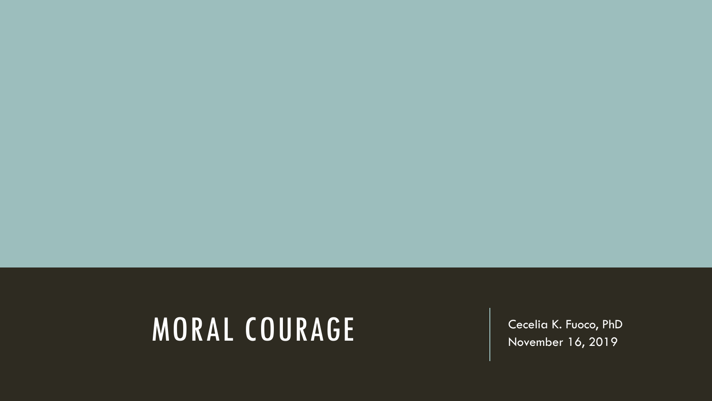#### MORAL COURAGE | Cecelia K. Fuoco, PhD

November 16, 2019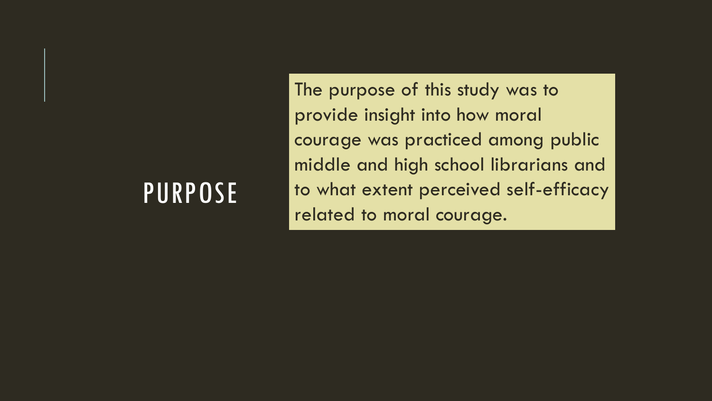#### PURPOSE

The purpose of this study was to provide insight into how moral courage was practiced among public middle and high school librarians and to what extent perceived self-efficacy related to moral courage.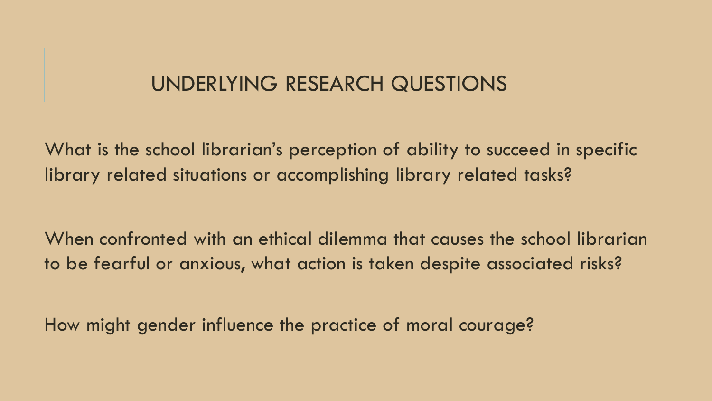#### UNDERLYING RESEARCH QUESTIONS

What is the school librarian's perception of ability to succeed in specific library related situations or accomplishing library related tasks?

When confronted with an ethical dilemma that causes the school librarian to be fearful or anxious, what action is taken despite associated risks?

How might gender influence the practice of moral courage?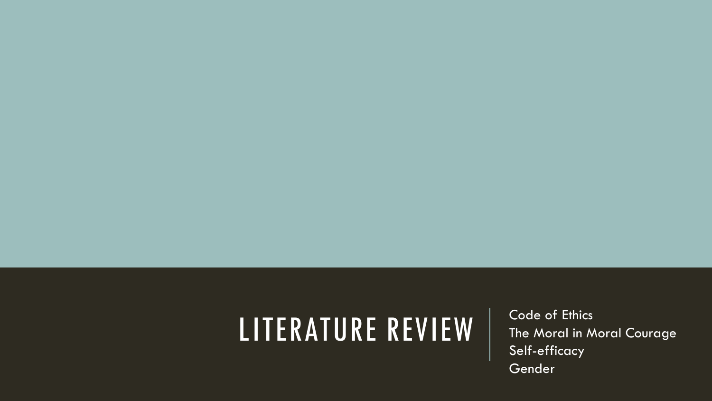# LITERATURE REVIEW | Code of Ethics

The Moral in Moral Courage Self-efficacy Gender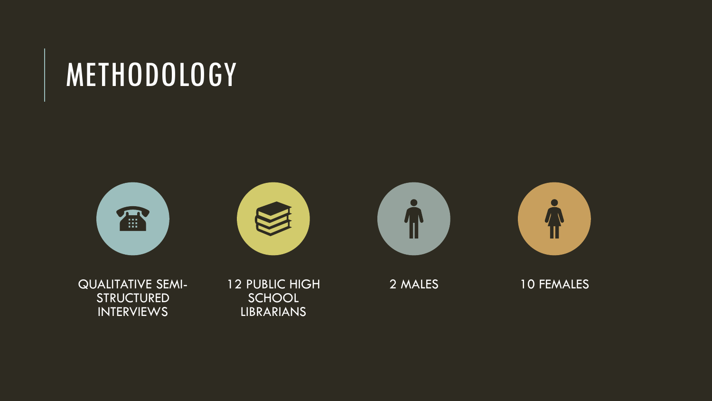#### METHODOLOGY









QUALITATIVE SEMI- STRUCTURED INTERVIEWS

12 PUBLIC HIGH **SCHOOL** LIBRARIANS

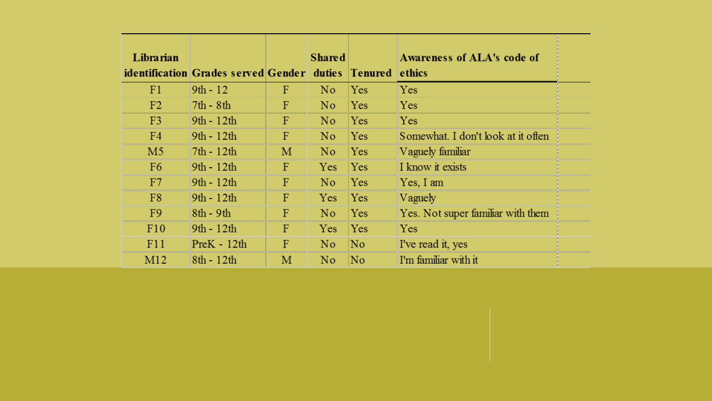| Librarian      |                                     |   | <b>Shared</b>  |                     | Awareness of ALA's code of         |  |
|----------------|-------------------------------------|---|----------------|---------------------|------------------------------------|--|
|                | identification Grades served Gender |   |                | duties Tenured      | ethics                             |  |
| F1             | $9th - 12$                          | F | No.            | <b>Yes</b>          | Yes.                               |  |
| F <sub>2</sub> | $7th - 8th$                         | F | N <sub>0</sub> | Yes                 | Yes                                |  |
| F <sub>3</sub> | $9th - 12th$                        | F | No.            | <b>Yes</b>          | Yes                                |  |
| F <sub>4</sub> | $9th - 12th$                        | F | N <sub>0</sub> | Yes                 | Somewhat. I don't look at it often |  |
| M <sub>5</sub> | $7th - 12th$                        | M | No.            | <b>Yes</b>          | Vaguely familiar                   |  |
| F <sub>6</sub> | $9th - 12th$                        | F | <b>Yes</b>     | Yes                 | I know it exists                   |  |
| F7             | 9th - 12th                          | F | N <sub>0</sub> | Yes                 | Yes, I am                          |  |
| F <sub>8</sub> | $9th - 12th$                        | F | <b>Yes</b>     | Yes                 | <b>Vaguely</b>                     |  |
| F <sub>9</sub> | $8th - 9th$                         | F | N <sub>0</sub> | Yes                 | Yes. Not super familiar with them  |  |
| F10            | $9th - 12th$                        | F | <b>Yes</b>     | <b>Yes</b>          | <b>Yes</b>                         |  |
| F11            | $PreK - 12th$                       | F | N <sub>o</sub> | $\overline{\rm No}$ | I've read it, yes                  |  |
| M12            | $8th - 12th$                        | M | No             | $\overline{\rm No}$ | I'm familiar with it               |  |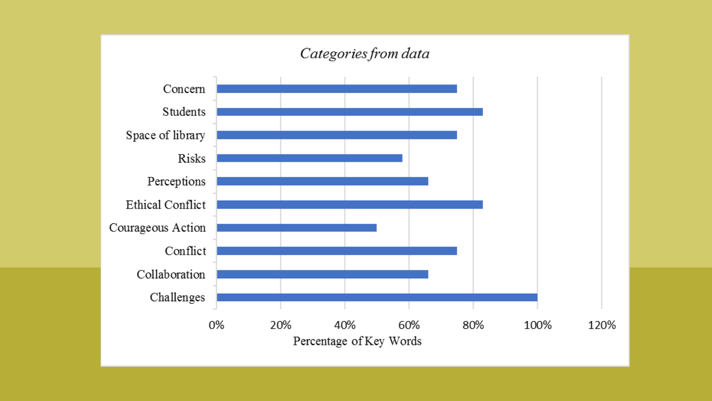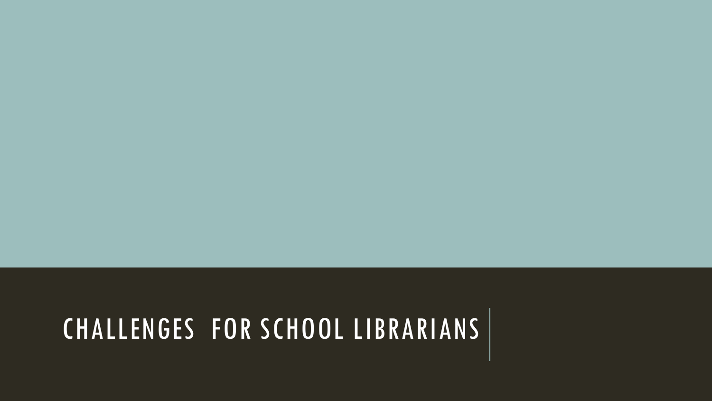#### CHALLENGES FOR SCHOOL LIBRARIANS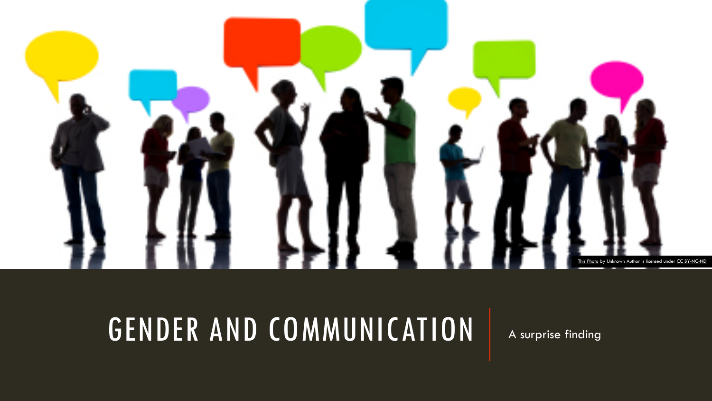

## GENDER AND COMMUNICATION

A surprise finding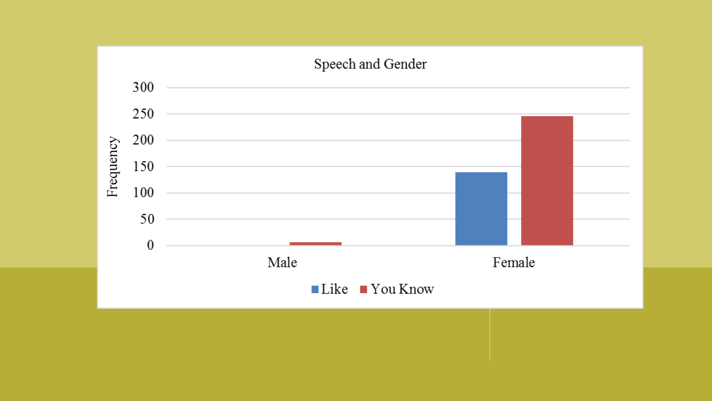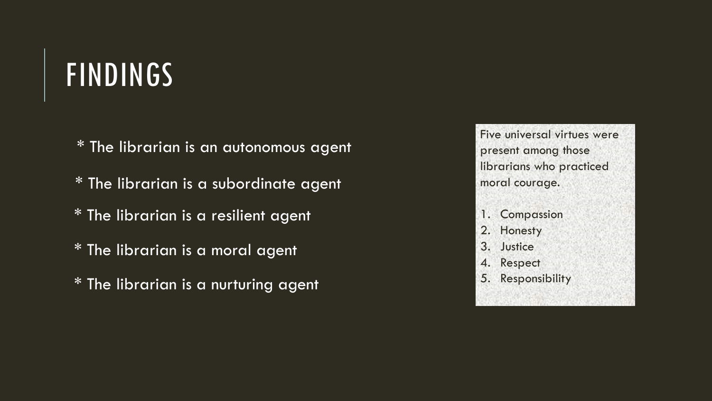### FINDINGS

- \* The librarian is an autonomous agent
- \* The librarian is a subordinate agent
- \* The librarian is a resilient agent
- \* The librarian is a moral agent
- \* The librarian is a nurturing agent

Five universal virtues were present among those librarians who practiced moral courage.

- 1. Compassion
- 2. Honesty
- 3. Justice
- 4. Respect
- 5. Responsibility